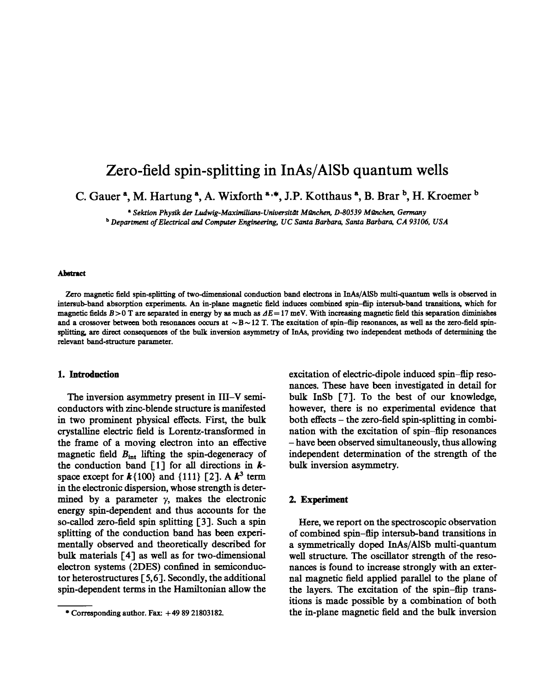# **Zero-field spin-splitting in InAs/A1Sb quantum wells**

C. Gauer<sup>a</sup>, M. Hartung<sup>a</sup>, A. Wixforth<sup>a.\*</sup>, J.P. Kotthaus<sup>a</sup>, B. Brar<sup>b</sup>, H. Kroemer<sup>b</sup>

*• Sektton Phystk der Ludwtg-Maximilia~-Universitdt Mtlnchen, D-80539 Mfmchen, Germany*

*b Department of Electrical and Computer Engineering, UC Santa Barbara, Santa Barbara, CA 93106, USA*

#### **~ t**

Zero magnetic field spin-splitting of two-dimensional conduction band electrons in InAs/AISb multi-quantum wells is observed in intersub-band absorption experiments.An in-plane magnetic field induces combined spin-flip intersub-band transitions, which for magnetic fields B>0 T are separated in energy by as much as  $\Delta E = 17$  meV. With increasing magnetic field this separation diminishes and a crossover between both resonances occurs at  $~\sim~B~\sim~12$  T. The excitation of spin-flip resonances, as well as the zero-field spinsplitting, are direct consequences of the bulk inversion asymmetry of InAs, providing two independent methods of determining the relevant band-structure parameter.

#### **1. Introduction**

The inversion asymmetry present in III-V semiconductors with zinc-blende structure is manifested in two prominent physical effects. First, the bulk crystalline electric field is Lorentz-transformed in the frame of a moving electron into an effective magnetic field  $B<sub>int</sub>$  lifting the spin-degeneracy of the conduction band [1] for all directions in  $k$ space except for  $k\{100\}$  and  $\{111\}$  [2]. A  $k^3$  term in the electronic dispersion, whose strength is determined by a parameter  $\gamma$ , makes the electronic energy spin-dependent and thus accounts for the so-called zero-field spin splitting [3]. Such a spin splitting of the conduction band has been experimentally observed and theoretically described for bulk materials [4] as well as for two-dimensional electron systems (2DES) confined in semiconductor heterostructures [ 5,6]. Secondly, the additional spin-dependent terms in the Hamiltonian allow the

excitation of electric-dipole induced spin-flip resonances. These have been investigated in detail for bulk InSb [7]. To the best of our knowledge, however, there is no experimental evidence that both effects - the zero-field spin-splitting in combination with the excitation of spin-flip resonances - have been observed simultaneously, thus allowing independent determination of the strength of the bulk inversion asymmetry.

## **2. Experiment**

Here, we report on the spectroscopic observation of combined spin-flip intersub-band transitions in a symmetrically doped InAs/A1Sb multi-quantum well structure. The oscillator strength of the resonances is found to increase strongly with an external magnetic field applied parallel to the plane of the layers. The excitation of the spin-flip transitions is made possible by a combination of both the in-plane magnetic field and the bulk inversion

<sup>\*</sup> Corresponding author. Fax:  $+498921803182$ .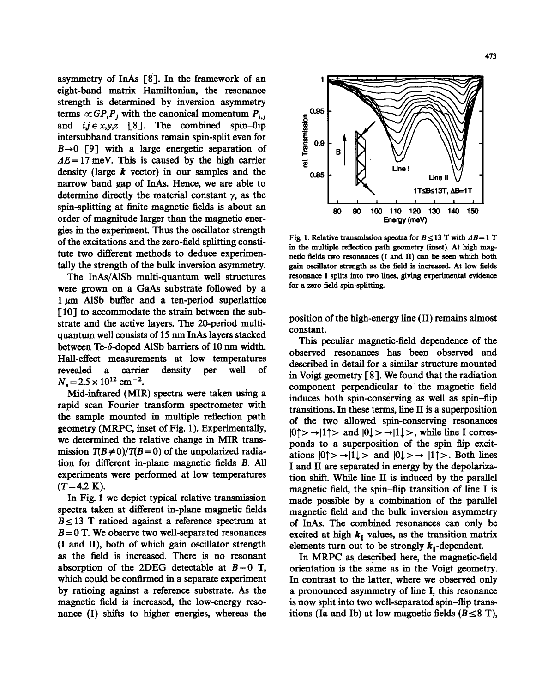asymmetry of InAs [8]. In the framework of an eight-band matrix Hamiltonian, the resonance strength is determined by inversion asymmetry terms  $\propto G P_i P_j$  with the canonical momentum  $P_{i,j}$ and  $i, j \in x, y, z \quad [8]$ . The combined spin-flip intersubband transitions remain spin-split even for  $B\rightarrow 0$  [9] with a large energetic separation of  $AE = 17$  meV. This is caused by the high carrier density (large  $k$  vector) in our samples and the narrow band gap of InAs. Hence, we are able to determine directly the material constant  $\gamma$ , as the spin-splitting at finite magnetic fields is about an order of magnitude larger than the magnetic ener-

gies in the experiment. Thus the oscillator strength of the excitations and the zero-field splitting constitute two different methods to deduce experimentally the strength of the bulk inversion asymmetry.

The InAs/A1Sb multi-quantum well structures were grown on a GaAs substrate followed by a  $1 \mu m$  AISb buffer and a ten-period superlattice [10] to accommodate the strain between the substrate and the active layers. The 20-period multiquantum well consists of 15 nm InAs layers stacked between Te-6-doped A1Sb barriers of 10 nm width. Hall-effect measurements at low temperatures revealed a carrier density per well of  $N_s = 2.5 \times 10^{12}$  cm<sup>-2</sup>.

Mid-infrared (MIR) spectra were taken using a rapid scan Fourier transform spectrometer with the sample mounted in multiple reflection path geometry (MR\_PC, inset of Fig. 1). Experimentally, we determined the relative change in MIR transmission  $T(B \neq 0)/T(B=0)$  of the unpolarized radiation for different in-plane magnetic fields B. All experiments were performed at low temperatures  $(T=4.2 \text{ K}).$ 

In Fig. 1 we depict typical relative transmission spectra taken at different in-plane magnetic fields  $B \le 13$  T ratioed against a reference spectrum at  $B = 0$  T. We observe two well-separated resonances (I and II), both of which gain oscillator strength as the field is increased. There is no resonant absorption of the 2DEG detectable at  $B=0$  T, which could be confirmed in a separate experiment by ratioing against a reference substrate. As the magnetic field is increased, the low-energy resonance (I) shifts to higher energies, whereas the



Fig. 1. Relative transmission spectra for  $B \le 13$  T with  $\Delta B = 1$  T in the multiple reflection path geometry (inset). At high magnetic fields two resonances (I and 1I) can be seen which both gain oscillator strength as the field is increasod. At low fields resonance I splits into two lines, giving experimental evidence for a zero-field spin-splitting.

position of the high-energy line (II) remains almost constant.

This peculiar magnetic-field dependence of the observed resonances has been observed and described in detail for a similar structure mounted in Voigt geometry [8]. We found that the radiation component perpendicular to the magnetic field induces both spin-conserving as well as spin-flip transitions. In these terms, line II is a superposition of the two allowed spin-conserving resonances  $|0\uparrow\rangle \rightarrow |1\uparrow\rangle$  and  $|0\downarrow\rangle \rightarrow |1\downarrow\rangle$ , while line I corresponds to a superposition of the spin-flip excitations  $|0\uparrow\rangle \rightarrow |1\downarrow\rangle$  and  $|0\downarrow\rangle \rightarrow |1\uparrow\rangle$ . Both lines I and II are separated in energy by the depolarization shift. While line  $\Pi$  is induced by the parallel magnetic field, the spin-flip transition of line I is made possible by a combination of the parallel magnetic field and the bulk inversion asymmetry of InAs. The combined resonances can only be excited at high  $k_{\parallel}$  values, as the transition matrix elements turn out to be strongly  $k_1$ -dependent.

In MRPC as described here, the magnetic-field orientation is the same as in the Voigt geometry. In contrast to the latter, where we observed only a pronounced asymmetry of line I, this resonance is now split into two well-separated spin-flip transitions (Ia and Ib) at low magnetic fields  $(B \leq 8$  T),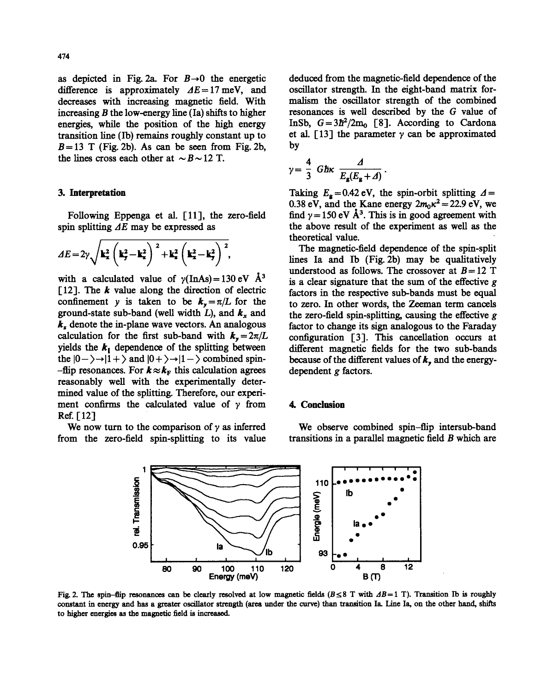as depicted in Fig. 2a. For  $B\rightarrow 0$  the energetic difference is approximately  $AE=17$  meV, and decreases with increasing magnetic field. With increasing  $B$  the low-energy line (Ia) shifts to higher energies, while the position of the high energy transition line (Ib) remains roughly constant up to  $B = 13$  T (Fig. 2b). As can be seen from Fig. 2b, the lines cross each other at  $\sim$  B $\sim$  12 T.

#### 3. Interpretation

Following Eppenga et al. [11], the zero-field spin splitting  $\Delta E$  may be expressed as

$$
\Delta E = 2\gamma \sqrt{\mathbf{k}_x^2 \left(\mathbf{k}_y^2 - \mathbf{k}_z^2\right)^2 + \mathbf{k}_z^2 \left(\mathbf{k}_x^2 - \mathbf{k}_y^2\right)^2},
$$

with a calculated value of  $\gamma$ (InAs) = 130 eV Å<sup>3</sup> [12]. The  $k$  value along the direction of electric confinement y is taken to be  $k_y = \pi/L$  for the ground-state sub-band (well width L), and  $k_x$  and  $k<sub>z</sub>$  denote the in-plane wave vectors. An analogous calculation for the first sub-band with  $k_y = 2\pi/L$ yields the  $k_{\parallel}$  dependence of the splitting between the  $|0-\rangle \rightarrow |1+\rangle$  and  $|0+\rangle \rightarrow |1-\rangle$  combined spin--flip resonances. For  $k \approx k_F$  this calculation agrees reasonably well with the experimentally determined value of the splitting. Therefore, our experiment confirms the calculated value of  $\gamma$  from Ref.  $[12]$ 

We now turn to the comparison of  $\gamma$  as inferred from the zero-field spin-splitting to its value deduced from the magnetic-field dependence of the oscillator strength. In the eight-band matrix formalism the oscillator strength of the combined resonances is well described by the G value of InSb,  $G = 3\hbar^2 / 2m_0$  [8]. According to Cardona et al. [13] the parameter  $\gamma$  can be approximated by

$$
\gamma = \frac{4}{3} \text{ Ghx } \frac{\Delta}{E_{\mathbf{g}}(E_{\mathbf{g}} + \Delta)}.
$$

Taking  $E<sub>g</sub> = 0.42$  eV, the spin-orbit splitting  $\Delta =$ 0.38 eV, and the Kane energy  $2m_0\kappa^2=22.9$  eV, we find  $\gamma = 150$  eV Å<sup>3</sup>. This is in good agreement with the above result of the experiment as well as the theoretical value.

The magnetic-field dependence of the spin-split lines Ia and Ib (Fig. 2b) may be qualitatively understood as follows. The crossover at  $B = 12$  T is a clear signature that the sum of the effective  $g$ factors in the respective sub-bands must be equal to zero. In other words, the Zeeman term cancels the zero-field spin-splitting, causing the effective  $g$ factor to change its sign analogous to the Faraday configuration [3]. This cancellation occurs at different magnetic fields for the two sub-bands because of the different values of  $k$ , and the energydependent g factors.

## **4.** Conclusion

We observe combined spin-flip intersub-band transitions in a parallel magnetic field B which are



Fig. 2. The spin-flip resonances can be clearly resolved at low magnetic fields ( $B \leq 8$  T with  $\Delta B=1$  T). Transition Ib is roughly constant in energy and has a greater oscillator strength (area under the curve) than transition Ia. Line Ia, on the other hand, shifts to higher energies as the magnetic field is increased.